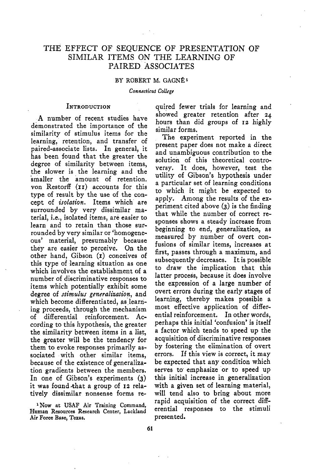# THE EFFECT OF SEQUENCE OF PRESENTATION OF SIMILAR ITEMS ON THE LEARNING OF PAIRED ASSOCIATES

#### BY ROBERT M. GAGNÉ<sup>1</sup>

#### *Connecticut College*

### **INTRODUCTION**

A number of recent studies have demonstrated the importance of the similarity of stimulus items for the learning, retention, and transfer of paired-associate lists. In general, it has been found that the greater the degree of similarity between items, the slower is the learning and the smaller the amount of retention, von Restorff (II) accounts for this type of result by the use of the concept of *isolation.* Items which are surrounded by very dissimilar material, i.e., isolated items, are easier to learn and to retain than those surrounded by very similar or 'homogeneous' material, presumably because they are easier to perceive. On the other hand, Gibson (1) conceives of this type of learning situation as one which involves the establishment of a number of discriminative responses to items which potentially exhibit some degree of *stimulus generalization,* and which become differentiated, as learning proceeds, through the mechanism of differential reinforcement. According to this hypothesis, the greater the similarity between items in a list, the greater will be the tendency for them to evoke responses primarily associated with other similar items, because of the existence of generalization gradients between the members. In one of Gibson's experiments (3) it was found that a group of  $12$  relatively dissimilar nonsense forms re-

'Now at USAF Air Training Command, Human Resources Research Center, Lackland Air Force Base, Texas.

quired fewer trials for learning and showed greater retention after 24 hours than did groups of 12 highly similar forms.

The experiment reported in the present paper does not make a direct and unambiguous contribution to the solution of this theoretical controversy. It does, however, test the utility of Gibson's hypothesis under a particular set of learning conditions to which it might be expected to apply. Among the results of the experiment cited above (3) is the finding that while the number of correct responses shows a steady increase from beginning to end, generalization, as measured by number of overt confusions of similar items, increases at first, passes through a maximum, and subsequently decreases. It is possible to draw the implication that this latter process, because it does involve the expression of a large number of overt errors during the early stages of learning, thereby makes possible a most effective application of differential reinforcement. In other words, perhaps this initial 'confusion' is itself a factor which tends to speed up the acquisition of discriminative responses by fostering the elimination of overt errors. If this view is correct, it may be expected that any condition which serves to emphasize or to speed up this initial increase in generalization with a given set of learning material, will tend also to bring about more rapid acquisition of the correct differential responses to the stimuli presented.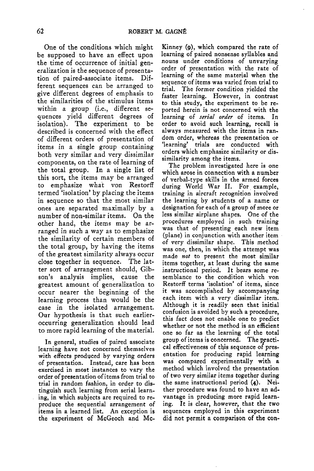One of the conditions which might be supposed to have an effect upon the time of occurrence of initial generalization is the sequence of presentation of paired-associate items. Different sequences can be arranged to give different degrees of emphasis to the similarities of the stimulus items within a group (i.e., different sequences yield different degrees of isolation). The experiment to be described is concerned with the effect of different orders of presentation of items in a single group containing both very similar and very dissimilar components, on the rate of learning of the total group. In a single list of this sort, the items may be arranged to emphasize what von Restorff termed 'isolation' by placing the items in sequence so that the most similar ones are separated maximally by a number of non-similar items. On the other hand, the items may be arranged in such a way as to emphasize the similarity of certain members of the total group, by having the items of the greatest similarity always occur close together in sequence. The latter sort of arrangement should, Gibson's analysis implies, cause the greatest amount of generalization to occur nearer the beginning of the learning process than would be the case in the isolated arrangement. Our hypothesis is that such earlieroccurring generalization should lead to more rapid learning of the material.

In general, studies of paired associate learning have not concerned themselves with effects produced by varying orders of presentation. Instead, care has been exercised in most instances to vary the order of presentation of items from trial to trial in random fashion, in order to distinguish such learning from serial learning, in which subjects are required to reproduce the sequential arrangement of items in a learned list. An exception is the experiment of McGeoch and Mc-

Kinney (9), which compared the rate of learning of paired nonsense syllables and nouns under conditions of unvarying order of presentation with the rate of learning of the same material when the sequence of items was varied from trial to trial. The former condition yielded the faster learning. However, in contrast to this study, the experiment to be reported herein is not concerned with the learning of *serial order* of items. In order to avoid such learning, recall is always measured with the items in random order, whereas the presentation or 'learning' trials are conducted with orders which emphasize similarity or dissimilarity among the items.

The problem investigated here is one which arose in connection with a number of verbal-type skills in the armed forces during World War II. For example, training in aircraft recognition involved the learning by students of a name or designation for each of a group of more or less similar airplane shapes. One of the procedures employed in such training was that of presenting each new item (plane) in conjunction with another item of very dissimilar shape. This method was one, then, in which the attempt was made *not* to present the most similar items together, at least during the same instructional period. It bears some resemblance to the condition which von Restorff terms 'isolation' of items, since it was accomplished by accompanying each item with a very dissimilar item. Although it is readily seen that initial confusion is avoided by such a procedure, this fact does not enable one to predict whether or not the method is an efficient one so far as the learning of the total group of items is concerned. The practical effectiveness of this sequence of presentation for producing rapid learning was compared experimentally with a method which involved the presentation of two very similar items together during the same instructional period (4). Neither procedure was found to have an advantage in producing more rapid learning. It is clear, however, that the two sequences employed in this experiment did not permit a comparison of the con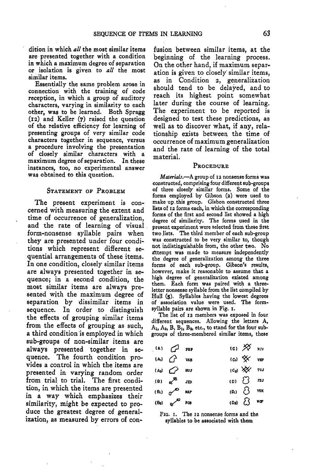dition in which *all* the most similar items are presented together with a condition in which a maximum degree of separation or isolation is given to *all* the most similar items.

Essentially the same problem arose in connection with the training of code reception, in which a group of auditory characters, varying in similarity to each other, was to be learned. Both Spragg (12) and Keller (7) raised the question of the relative efficiency for learning of presenting groups of very similar code characters together in sequence, versus a procedure involving the presentation of closely similar characters with a maximum degree of separation. In these instances, too, no experimental answer was obtained to this question.

## STATEMENT OF PROBLEM

The present experiment is concerned with measuring the extent and time of occurrence of generalization, and the rate of learning of visual form-nonsense syllable pairs when they are presented Under four conditions which represent different sequential arrangements of these items. In one condition, closely similar items are always presented together in sequence; in a second condition, the most similar items are always presented with the maximum degree of separation by dissimilar items in sequence. In order to distinguish the effects of grouping similar items from the effects of grouping as such, a third condition is employed in which sub-groups of non-similar items are always presented together in sequence. The fourth condition provides a control in which the items are presented in varying random order from trial to trial. The first condition, in which the items are presented in a way which emphasizes their similarity, might be expected to produce the greatest degree of generalization, as measured by errors of con-

fusion between similar items, at the beginning of the learning process. On the other hand, if maximum separation is given to closely similar items, as in Condition *2,* generalization should tend to be delayed, and to reach its highest point somewhat later during the course of learning. The experiment to be reported is designed to test these predictions, as well as to discover what, if any, relationship exists between the time of occurrence of maximum generalization and the rate of learning of the total material.

#### PROCEDURE

*Materials.*—A group of 12 nonsense forms was constructed, comprising four different sub-groups of three closely similar forms. Some of the forms employed by Gibson (2) were used to make up.this group. Gisbon constructed three lists of 12 forms each, in which the corresponding forms of the first and second list showed a high degree of similarity. The forms used in the present experiment were selected from these first two lists. The third member of each sub-group was constructed to be very similar to, though not indistinguishable from, the other two. No Attempt was made to measure independently the degree of generalization among the three forms of each sub-group. Gibson's results, however, make it reasonable to assume that a high degree of generalization existed among them. Each form was paired with a threeletter nonsense syllable from the list compiled by Hull (g). Syllables naving the lowest degrees of association value were used. The formsyllable pairs are shown in Fig. I.

The list of 12 members was exposed in four different sequences. Allowing the letters A,  $A_1$ ,  $A_2$ ,  $B_1$ ,  $B_2$ , etc., to stand for the four subgroups of three-membered similar items, these

| $(A)$ $\bigcap$ $p_{EP}$ |  | (c) $\chi$ and                                                  |  |
|--------------------------|--|-----------------------------------------------------------------|--|
| $(A_1)$ $(A)$ vab        |  | $(c_i)$ $\frac{1}{2}$ $\frac{1}{2}$ $\frac{1}{2}$ $\frac{1}{2}$ |  |
| $(A_2)$ $\bigcap$ HUJ    |  | $(C_2)$ $\times$ $\times$ $TUS$                                 |  |
| (8) $8^{\circ}$ JD       |  | $(D)$ $\sum$ FEJ                                                |  |
| $(B_1)$ $\alpha$ MAP     |  | $(D_i)$ $\bigcirc$ vuk                                          |  |
| $(B_2)$ $O_2$ POB        |  | $(Dz)$ $\sum$ war                                               |  |

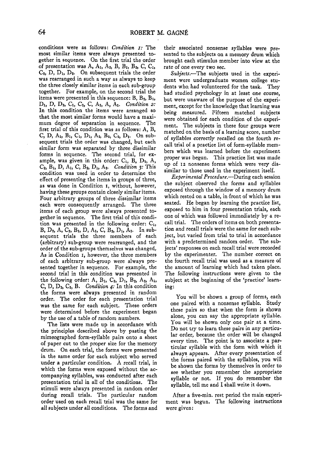conditions were as follows: *Condition i:* The most similar items were always presented together in sequence. On the first trial the order of presentation was A, AI, A2, B, Bi, B2, C, Ci, C2, D, Di, D2. On subsequent trials the order was rearranged in such a way as always to keep the three closely similar items in each sub-group together. For example, on the second trial the items were presented in this sequence:  $B$ ,  $B_2$ ,  $B_1$ , D<sub>1</sub>, D, D<sub>2</sub>, C<sub>1</sub>, C<sub>2</sub>, C, A<sub>2</sub>, A, A<sub>1</sub>. *Condition 2:* In this condition the items were arranged so that the most similar forms would have a maximum degree of separation in sequence. The first trial of this condition was as follows: A, B,  $C$ , D, A<sub>1</sub>, B<sub>1</sub>, C<sub>1</sub>, D<sub>1</sub>, A<sub>2</sub>, B<sub>2</sub>, C<sub>2</sub>, D<sub>2</sub>. On subsequent trials the order was changed, but each similar form was separated by three dissimilar forms in sequence. The second trial, for example, was given in this order:  $C_1$ ,  $B_2$ ,  $D_2$ , A, C2, Bi, D, Ai, C, Bi, Di, Aj. *Condition 3:* This condition was used in order to determine the effect of presenting the items in groups of three, as was done in Condition I, without, however, having these groups contain closely similar items. Four arbitrary groups of three dissimilar items each were consequently arranged. The three items of each group were always presented together in sequence. The first trial of this condition was presented in the following order: C<sub>1</sub>, B,  $D_2$ , A,  $C_2$ , B<sub>1</sub>, D, A<sub>1</sub>, C, B<sub>2</sub>, D<sub>1</sub>, A<sub>2</sub>. In subsequent trials the three members of each (arbitrary) sub-group were rearranged, and the order of the sub-groups themselves was changed. As in Condition I, however, the three members of each arbitrary sub-group were always presented together in sequence. For example, the second trial in this condition was presented in the following order: A, B<sub>1</sub>, C<sub>2</sub>, D<sub>1</sub>, B<sub>2</sub>, A<sub>2</sub>, A<sub>1</sub>, C, D, Dz, Ci, B. *Condition 4:* In this condition the forms were always presented in random order. The order for each presentation trial was the same for each subject. These orders were determined before the experiment began by the use of a table of random numbers.

The lists were made up in accordance with the principles described above by pasting the mimeographed form-syllable pairs onto a sheet of paper cut to the proper size for the memory drum. On each trial, the forms were presented in the same order for each subject who served under a particular condition. A recall trial, in which the forms were exposed without the accompanying syllables, was conducted after each presentation trial in all of the conditions. The stimuli were always presented in random order during recall trials. The particular random order used on each recall trial was the same for all subjects under all conditions. The forms and

their associated nonsense syllables were presented to the subjects on a memory drum which brought each stimulus member into view at the rate of one every two sec.

*Subjects.*—The subjects used in the experiment were undergraduate women college students who. had volunteered for the task. They had studied psychology in at least one course, but were unaware of the purpose of the experiment, except for the knowledge that learning was being measured. Fifteen matched subjects were obtained for each condition of the experiment. The subjects in these four groups were matched on the basis of a learning score, number of syllables correctly recalled on the fourth recall trial of a practice list of form-syllable members which was learned before the experiment proper was begun. This practice list was made up of 12 nonsense forms which were very dissimilar to those used in the experiment itself.

*Experimental Procedure.*—During each session the subject observed the forms and syllables exposed through the window of a memory drum which rested on a table, in front of which he was seated. He began by learning the practice list, exposed to him in four presentation trials, each one of which was followed immediately by a recall trial. The orders of items on both presentation and recall trials were the same for each subject, but varied from trial to trial in accordance with a predetermined random order. The subjects' responses on each recall trial were recorded by the experimenter. The number correct on the fourth recall trial was used as a measure of the amount of learning which had taken place. The following instructions were given to the subject at the beginning of the 'practice' learning:

You will be shown a group of forms, each one paired with a nonsense syllable. Study these pairs so that when the form is shown alone, you can say the appropriate syllable. You will be shown only one pair at a time. Do not try to learn these pairs in any particular order, because the order will be changed every time. The point is to associate a particular syllable with the form with which it always appears. After every presentation of the forms paired with the syllables, you will be shown the forms by themselves in order to see whether you remember the appropriate syllable or not. If you do remember the syllable, tell me and I shall write it down.

After a five-min. rest period the main experiment was begun. The following instructions were given: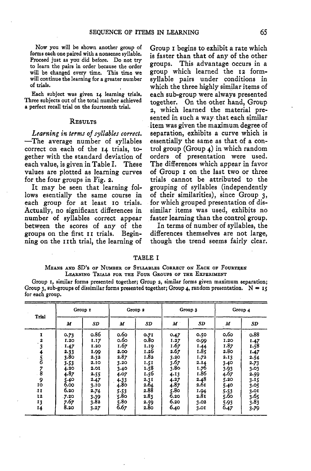Now you will be shown another group of forms each one paired with a nonsense syllable. Proceed just as you did before. Do not try to learn the pairs in order because the order will be changed every time. This time we will continue the learning for a greater number of trials.

Each subject was given 14 learning trials. Three subjects out of the total number achieved a perfect recall trial on the fourteenth trial.

## **RESULTS**

*Learning in terms of syllables correct.* —The average number of syllables correct on each of the 14 trials, together with the standard deviation of each value, is given in Table I, These values are plotted as learning curves for the four groups in Fig. 2.

It may be seen that learning follows esentially the same course in each group for at least 10 trials. Actually, no significant differences in number of syllables correct appear between the scores of any of the groups on the first II trials. Beginning on the 11th trial, the learning of

Group i begins to exhibit a rate which is faster than that of any of the other groups. This advantage occurs in a group which learned the 12 formsyllable pairs under conditions in which the three highly similar items of each sub-group were always presented together. On the other hand, Group 2, which learned the material presented in such a way that each similar item was given the maximum degree of separation, exhibits a curve which is essentially the same as that of a control group (Group 4) in which random orders of presentation were used. The differences which appear in favor of Group I on the last two or three trials cannot be attributed to the grouping of syllables (independently of their similarities), since Group 3, for which grouped presentation of dissimilar items was used, exhibits no faster learning than the control group.

In terms of number of syllables, the differences themselves are not large, though the trend seems fairly clear.

#### TABLE I

### MEANS AND SD's OF NUMBER OF SYLLABLES CORRECT ON EACH OF FOURTEEN LEARNING TRIALS FOR THE FOUR GROUPS OF THE EXPERIMENT

Group I, similar forms presented together; Group a, similar forms given maximum separation; Group 3, sub-groups of dissimilar forms presented together; Group 4, random presentation.  $N = 15$ for each group.

| Trial              | Group I      |          | Group 2 |                  | Group 3 |      | Group 4  |           |
|--------------------|--------------|----------|---------|------------------|---------|------|----------|-----------|
|                    | М            | SD       | М       | SD               | М       | SD   | M        | <b>SD</b> |
| 1                  | 0.73         | o.86     | 0.60    | 0.7I             | 0.47    | 0.50 | 0.60     | 0.88      |
| 2                  | $\Gamma$ .20 | 1.17     | 0.60    | 0.80             | 1.27    | 0.99 | 1.20     | 1.47      |
|                    | 1.47         | 1.20     | 1.67    | 1.19             | 1.67    | 1.44 | 1.87     | 1.58      |
|                    | 2.33         | 1.99     | 2.00    | 1.26             | 2.67    | 1.85 | 2,80     | 1.47      |
|                    | 3.80         | 2.32     | 2.87    | 1.82             | 3.20    | 1.72 | 2.13     | 2.54      |
| 6                  | 3.53         | 2.10     | 3.20    | 1.51             | 3.67    | 2.14 | 3.40     | 2.73      |
|                    | 4.20         | 2.01     | 3.40    | 1.58             | 3.80    | 1.76 | 3.93     | 3.03      |
| $\mathbf{\hat{8}}$ | 4.87         | 2.55     | 4.07    | 1.56             | 4.13    | 1.86 | 4.67     | 2.59      |
| 9                  | 5.40         | 2.47     | 4.33    | 2.3I             | 4.27    | 2.48 | 5.20     | 3.15      |
| IO                 | 6.00         | 3.10     | 4.80    | 2.64             | 4.87    | 2.61 | 5.40     | 3.05      |
| II                 | 6.20         | 2.74     | 5.53    | 2.88             | 5.80    | 1.94 | $5 - 53$ | 3.01      |
| 12                 | .7.20        | $3 - 39$ | 5.80    | 2.8 <sub>3</sub> | 6.20    | 2,81 | 5.60     | 3.65      |
| 13                 | 7.67         | 3.82     | š.8o    | 2.59             | 6.20    | 3.02 | 5.93     | 3.83      |
| 14                 | 8.20         | 3.27     | 6.67    | 2,80             | 6.40    | 3.01 | 6.47     | 3.79      |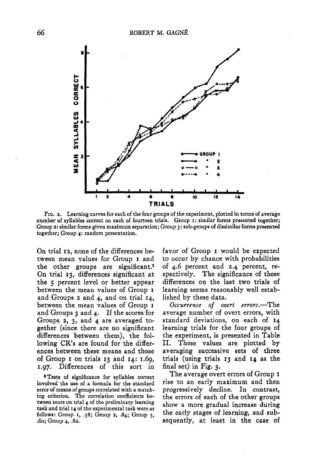

FIG. a. Learning curves for each of the four groups of the experiment, plotted in terms of average number of syllables correct on each of fourteen trials. Group i: similar forms presented together; Group at similar forms given maximum separation; Group 3: sub-groups of dissimilar forms presented together; Group 4: random presentation.

On trial 12, none of the differences between mean values for Group i and the other groups are significant.<sup>2</sup> On trial 13, differences significant at the 5 percent level or better appear between the mean values of Group i and Groups *2* and 4, and on trial 14, between the mean values of Group i and Groups 3 and 4. If the scores for Groups 2, 3, and 4 are averaged together (since there are no significant differences between them), the following CR's are found for the differences between these means and those of Group i on trials 13 and 14: 1.69, 1.97. Differences of this sort in

•Tests of significance for syllables correct involved the use of a formula for the standard error of means of groups correlated with a matching criterion. The correlation coefficients between score on trial 4 of the preliminary learning task and trial 14 of the experimental task were as follows: Group i, .38; Group 2, .84; Group 3, .60; Group 4, .82,

favor of Group i would be expected to occur by chance with probabilities of 4.6 percent and 2.4 percent, respectively. The significance of these differences on the last two trials of learning seems reasonably well established by these data.

*Occurrence of overt errors.*—The average number of overt errors, with standard deviations, on each of 14 learning trials for the four groups of the experiment, is presented in Table II. These values are plotted by averaging successive sets of three trials (using trials 13 and 14 as the final set) in Fig. 3.

The average overt errors of Group I rise to an early maximum and then progressively decline. In contrast, the errors of each of the other groups show a more gradual increase during the early stages of learning, and subsequently, at least in the case of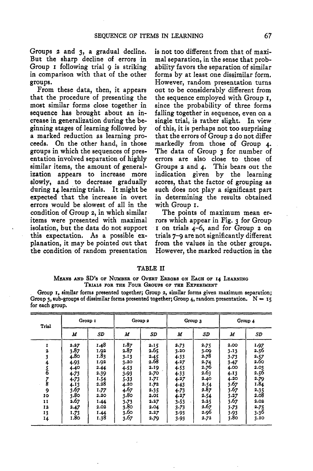Groups 2 and 3, a gradual decline. But the sharp decline of errors in Group I following trial 9 is striking in comparison with that of the other groups.

From these data, then, it appears that the procedure of presenting the most similar forms close together in sequence has brought about an increase in generalization during the beginning stages of learning followed by a marked reduction as learning proceeds. On the other hand, in those groups in which the sequences of presentation involved separation of highly similar items, the amount of generalization appears to increase more slowly, and to decrease gradually during 14 learning trials. It might be expected that the increase in overt errors would be slowest of all in the condition of Group 2, in which similar items were presented with maximal isolatipn, but the data do not support this expectation. As a possible explanation, it may be pointed out that the condition of random presentation

2.67 2.47 1-73 i. 80 1-44 2.02 1.44 1.38

3-73 3.80 3.60 3.67

is not too different from that of maximal separation, in the sense that probability favors the separation of similar forms by at least one dissimilar form. However, random presentation turns out to be considerably different from the sequence employed with Group I, since the probability of three forms falling together in sequence, even on a single trial, is rather slight. In view of this, it is perhaps not too surprising that the errors of Group 2 do not differ markedly from those of Group 4. The data of Group 3 for number of errors are also close to those of Groups 2 and 4. This bears out the indication given by the learning scores, that the factor of grouping as such does not play a significant part in determining the results obtained with Group i.

The points of maximum mean errors which appear in Fig. 3 for Group i on trials 4-6, and for Group 2 on trials 7-9 are not significantly different from the values in the other groups. However, the marked reduction in the

| MEANS AND SD'S OF NUMBER OF OVERT ERRORS ON EACH OF 14 LEARNING                                                 |  |  |  |  |  |  |
|-----------------------------------------------------------------------------------------------------------------|--|--|--|--|--|--|
| TRIALS FOR THE FOUR GROUPS OF THE EXPERIMENT                                                                    |  |  |  |  |  |  |
| n an de Massachus (m. 1955), a chéad an Chaidh Chaidh an dealbhaile an dealbhaile an dealbhaile an dealbhaile a |  |  |  |  |  |  |

, Group *i,* similar forms presented together; Group 2, similar forms given maximum separation; Group  $3$ , sub-groups of dissimilar forms presented together; Group  $4$ , random presentation.  $N = 15$ 

for each group. Trial I 2 3  $456$ 7 8 9 10 Group i *M* 2.27 3-87 4.80 4-93 4.4° 4-73 4'73 4-13 3-67 3.80 *SD* 1.48 1.92 1.83 1.92 2.44 2.39 1-54 2.28 1-77 2.20 Group *a M* 1.87 2.87 3-13 3.20 4-53 3-93 S-33 4.20 4.67 3.80 *SD* 2.15 2.65 2.45 2.68 2.19 2.70 1.71 1.72 2-3S 2.01 Group 3 *M* 2-73 3.20 4-33 4.27 4-S3 4-33 4.27 443 4-73 4.27 *SD* 2-75 3.09 2.78 2.74 2.76 2.63 2.40 2-54 2.87 2-S4 Group 4 *M* 2.00 3-13 3-73 3-47 4.00 4-13 4.20 3-67 3-67 3-27 SD 1.97 2.56 2-57 2.60 2.56 2-79 1.84 2-35 2.08

2.27 2.04 2.27 2-79 3-S3 3-73 3-93 3-93 2.25 2.67 2.96 2.72

3-67 3-73 3-93 3.80 2.02  $2.75$ <br>3.36 3-10

#### TABLE II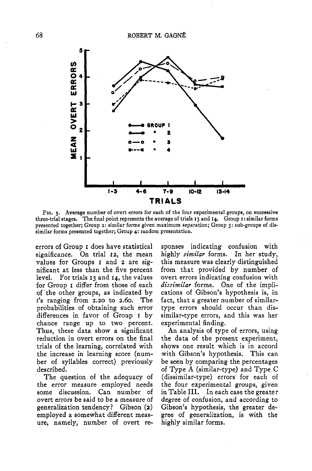

FIG. 3. Average number of overt errors for each of the four experimental groups, on successive three-trial stages. The final point represents the average of trials 13 and 14. Group I: similar forms presented together; Group *2:* similar forms given maximum separation; Group 3: sub-groups of dissimilar forms presented together; Group 4: random presentation.

errors of Group i does have statistical significance. On trial 12, the mean values for Groups I and *2* are significant at less than the five percent level. For trials 13 and 14, the values for Group I differ from those of each of the other groups, as indicated by *t's* ranging from 2.20 to 2.60. The probabilities of obtaining such error differences in favor of Group I by chance range up to two percent. Thus, these data show a significant reduction in overt errors on the final trials of the learning, correlated with the increase in learning score (number of syllables correct) previously described.

The question of the adequacy of the error measure employed needs some discussion. Can number of overt errors be said to be a measure of generalization tendency? Gibson (2) employed a somewhat different measure, namely, number of overt responses indicating confusion with highly *similar* forms. In her study, this measure was clearly distinguished from that provided by number of overt errors indicating confusion with *dissimilar* forms. One of the implications of Gibson's hypothesis is, in fact, that a greater number of similartype errors should occur than dissimilar-type errors, and this was her experimental finding.

An analysis of type of errors, using the data of the present experiment, shows one result which is in accord with Gibson's hypothesis. This can be seen by comparing the percentages of Type A (similar-type) and Type C (dissimilar-type) errors for each of the four experimental groups, given in Table III. In each case the greater degree of confusion, and according to Gibson's hypothesis, the greater degree of generalization, is with the highly similar forms.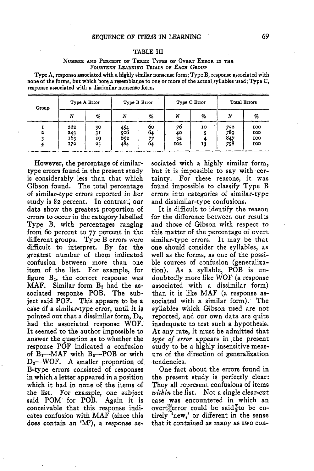#### TABLE III

#### NUMBER AND PERCENT OP THREE TYPES OF OVERT ERROR IN THE FOURTEEN LEARNING TRIALS OF EACH GROUP

Type A, response associated with a highly similar nonsense form; Type B, response associated with none of the forms, but which bore a resemblance to one or more of the actual syllables used; Type C, response associated with a dissimilar nonsense form.

| Group | Type A Error             |                      | Type B Error                    |                      | Type C Error          |          | <b>Total Errors</b>      |                          |
|-------|--------------------------|----------------------|---------------------------------|----------------------|-----------------------|----------|--------------------------|--------------------------|
|       | N                        | %                    | N                               | %                    | N                     | %        | N                        | %                        |
| 2     | 222<br>243<br>163<br>172 | 30<br>31<br>19<br>23 | $\frac{454}{506}$<br>652<br>484 | 60<br>64<br>77<br>64 | 76<br>40<br>32<br>102 | 10<br>13 | 752<br>789<br>847<br>758 | 100<br>100<br>100<br>100 |

However, the percentage of similartype errors found in the present study is considerably less than that which Gibson found. The total percentage of similar-type errors reported in her study is 82 percent. In contrast, our data show the greatest proportion of errors to occur in the category labelled Type B, with percentages ranging from 60 percent to 77 percent in the different groups. Type B errors were difficult to interpret. By far the greatest number of them indicated confusion between more than one item of the list. For example, for figure  $B<sub>1</sub>$ , the correct response was MAF. Similar form  $B_2$  had the associated response FOB. The subject said POF. This appears to be a case of a similar-type error, until it is pointed out that a dissimilar form,  $D_2$ , had the associated response WOF. It seemed to the author impossible to answer the question as to whether the response POF indicated a confusion of  $B_1$ —MAF with  $B_2$ —POB or with  $D<sub>2</sub>$ —WOF. A smaller proportion of B-type errors consisted of responses in which a letter appeared in a position which it had in none of the items of<br>the list. For example, one subject For example, one subject said POM for FOB. Again it is conceivable that this response indicates confusion with MAF (since this does contain an 'M'), a response as-

sociated with a highly similar form, but it is impossible to say with certainty. For these reasons, it was found impossible to classify Type B errors into categories of similar-type and dissimilar-type confusions.

It is difficult to identify the reason for the difference between our results and those of Gibson with respect to this matter of the percentage of overt similar-type errors. It may be that one should consider the syllables, as well as the forms, as one of the possible sources of confusion (generalization). As a syllable, FOB is undoubtedly more like WOF (a response associated with a dissimilar form) than it is like MAF (a response associated with a similar form). The syllables which Gibson used are not reported, and our own data are quite inadequate to test such a hypothesis. At any rate, it must be admitted that *type of error* appears in ,the present study to be a highly insensitive measure of the direction of generalization tendencies.

One fact about the errors found in the present study is perfectly clear: They all represent confusions of items *within* the list. Not a single clear-cut case was encountered in which an overterror could be said to be entirely 'new,' or different in the sense that it contained as many as two con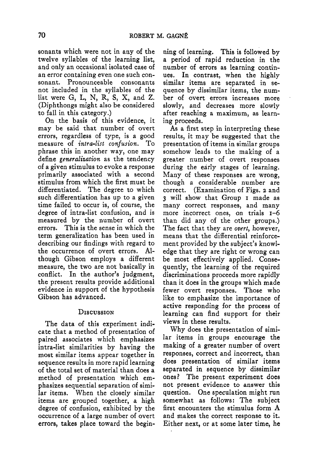sonants which were not in any of the twelve syllables of the learning list, and only an occasional isolated case of an error containing even one such consonant. Pronounceable consonants not included in the syllables of the list were G, L, N, R, S, X, and Z. (Diphthongs might also be considered to fall in this category.)

On the basis of this evidence, it may be said that number of overt errors, regardless of type, is a good measure of *intra-list confusion.* To phrase this in another way, one may define *generalization* as the tendency of a given stimulus to evoke a response primarily associated with a second stimulus from which the first must be differentiated. The degree to which such differentiation has up to a given time failed to occur is, of course, the degree of intra-list confusion, and is measured by the number of overt errors. This is the sense in which the term generalization has been used in describing our findings with regard to the occurrence of overt errors. Although Gibson employs a different measure, the two are not basically in conflict. In the author's judgment, the present results provide additional evidence in support of the hypothesis Gibson has advanced.

## **DISCUSSION**

The data of this experiment indicate that a method of presentation of paired associates which emphasizes intra-list similarities by having the most similar items appear together in sequence results in more rapid learning of the total set of material than does a method of presentation which emphasizes sequential separation of similar items. When the closely similar items are grouped together, a high degree of confusion, exhibited by the occurrence of a large number of overt errors, takes place toward the beginning of learning. This is followed by a period of rapid reduction in the number of errors as learning continues. In contrast, when the highly similar items are separated in sequence by dissimilar items, the number of overt errors increases more slowly, and decreases more slowly after reaching a maximum, as learning proceeds.

As a first step in interpreting these results, it may be suggested that the presentation of items in similar groups somehow leads to the making of a greater number of overt responses during the early stages of learning. Many of these responses are wrong, though a considerable number are correct. (Examination of Figs. 2 and 3 will show that Group I made as many correct responses, and many more incorrect ones, on trials 1-6 than did any of the other groups.) The fact that they are *overt,* however, means that the differential reinforcement provided by the subject's knowledge that they are right or wrong can be most effectively applied. Consequently, the learning of the required discriminations proceeds more rapidly than it does in the groups which made fewer overt responses. Those who like to emphasize the importance of active responding for the process of learning can find support for their views in these results.

Why does the presentation of similar items in groups encourage the making of a greater number of overt responses, correct and incorrect, than does presentation of similar items separated in sequence by dissimilar ones? The present experiment does not present evidence to answer this question. One speculation might run somewhat as follows: The subject first encounters the stimulus form A and makes the correct response to it. Either next, or at some later time, he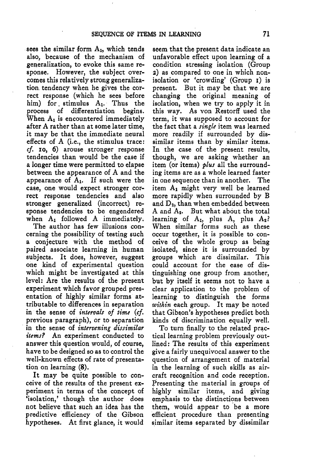sees the similar form  $A_1$ , which tends also, because of the mechanism of generalization, to evoke this same response. However, the subject overcomes this relatively strong generalization, tendency when he gives the correct response (which he sees before him) for stimulus A<sub>1</sub>. Thus the process of differentiation begins. process of differentiation When  $A_1$  is encountered immediately after A rather than at some later time, it may be that the immediate neural effects of A (i.e., the stimulus trace: *cf.* 10, 6) arouse stronger response tendencies than would be the case if a longer time were permitted to elapse between the appearance of A and the appearance of  $A_1$ . If such were the case, one would expect stronger correct response tendencies and also stronger generalized (incorrect) response tendencies to be engendered when  $A_1$  followed  $A$  immediately.

The author has few illusions concerning the possibility of testing such a conjecture with the method of paired associate learning in human subjects. It does, however, suggest one kind of experimental question which might be investigated at this level: Are the results of the present experiment which favor grouped presentation of highly similar forms attributable to differences in separation in the sense of *intervals of time (cf.* previous paragraph), or to separation in the sense of *intervening dissimilar items?* An experiment conducted to answer this question would, of course, have to be designed so as to control the well-known effects of rate of presentation on learning (8).

It may be quite possible to conceive of the results of the present experiment in terms of the concept of 'isolation,' though the author does not believe that such an idea has the predictive efficiency of the Gibson hypotheses. At first glance, it would

seem that the present data indicate an unfavorable effect upon learning of a condition stressing isolation (Group 2) as compared to one in which nonisolation or 'crowding' (Group i) is present. But it may be that we are changing the original meaning of isolation, when we try to apply it in this way. As von Restorff used the term, it was supposed to account for the fact that a *single* item was learned more readily if surrounded by dissimilar items than by similar items. In the case of the present results, though, we are asking whether an item (or items) *plus* all the surrounding items are as a whole learned faster in one sequence than in another. The item A<sub>1</sub> might very well be learned more rapidly when surrounded by B and  $D_2$ , than when embedded between A and A2. But what about the total learning of  $A_1$ , plus  $A_2$ ? When similar forms such as these occur together, it is possible to conceive of the whole group as being isolated, since it is surrounded by<br>eroups which are dissimilar. This groups which are dissimilar. could account for the ease of distinguishing one group from another, but by itself it seems not to have a clear application to the problem of learning to distinguish the forms *within* each group. It may be noted that Gibson's hypotheses predict both kinds of discrimination equally well.

To turn finally to the related practical learning problem previously outlined: The results of this experiment give a fairly unequivocal answer to the question of arrangement of material in the learning of such skills as aircraft recognition and code reception. Presenting the material in groups of highly similar items, and giving emphasis to the distinctions between them, would appear to be a more efficient procedure than presenting similar items separated by dissimilar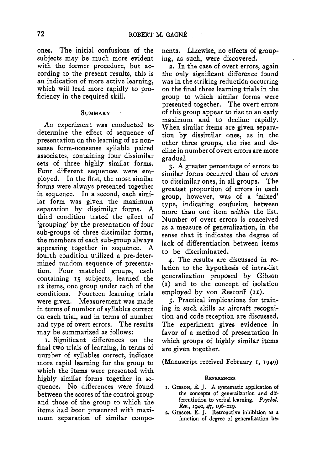ones. The initial confusions of the subjects may be much more evident with the former procedure, but according to the present results, this is an indication of more active learning, which will lead more rapidly to proficiency in the required skill.

## **SUMMARY**

An experiment was conducted to determine the effect of sequence of presentation on the learning of 12 nonsense form-nonsense syllable paired associates, containing four dissimilar sets of three highly similar forms. Four different sequences were employed. In the first, the most similar forms were always presented together in sequence. In a second, each similar form was given the maximum separation by dissimilar forms. A third condition tested the effect of 'grouping' by the presentation of four sub-groups of three dissimilar forms, the members of each sub-group always appearing together in sequence. A fourth condition utilized a pre-determined random sequence of presentation. Four matched groups, each containing 15 subjects, learned the 12 items, one group under each of the conditions. Fourteen learning trials were given. Measurement was made in terms of number of syllables correct on each trial, and in terms of number and type of overt errors. The results may be summarized as follows:

i. Significant differences on the final two trials of learning, in terms of number of syllables correct, indicate more rapid learning for the group to which the items were presented with highly similar forms together in sequence. No differences were found between the scores of the control group and those of the group to which the items had been presented with maximum separation of similar components. Likewise, no effects of grouping, as such, were discovered.

2. In the case of overt errors, again the only significant difference found was in the striking reduction occurring on the final three learning trials in the group to which similar forms were presented together. The overt errors of this group appear to rise to an early maximum and to decline rapidly. When similar items are given separation by dissimilar ones, as in the other three groups, the rise and decline in number of overt errors are more gradual.

3. A greater percentage of errors to similar forms occurred than of errors to dissimilar ones, in all groups. The greatest proportion of errors in each group, however, was of a 'mixed' type, indicating confusion between more than one item *within* the list. Number of overt errors is conceived as a measure of generalization, in the sense that it indicates the degree of lack of differentiation between items to be discriminated.

4. The results are discussed in relation to the hypothesis of intra-list generalization proposed by Gibson (i) and to the concept of isolation employed by von Restorff  $(11)$ .

5. Practical implications for training in such skills as aircraft recognition and code reception are discussed. The experiment gives evidence in favor of a method of presentation in which groups of highly similar items are given together.

(Manuscript received February i, 1949)

#### **REFERENCES**

- 1. GIBSON, E. J. A systematic application of the concepts of generalization and differentiation to verbal learning. *Psychol. Rev.,* 1940, **47,** 196-229.
- 2. GIBSON, E. J. Retroactive inhibition as a function of degree of generalization be-